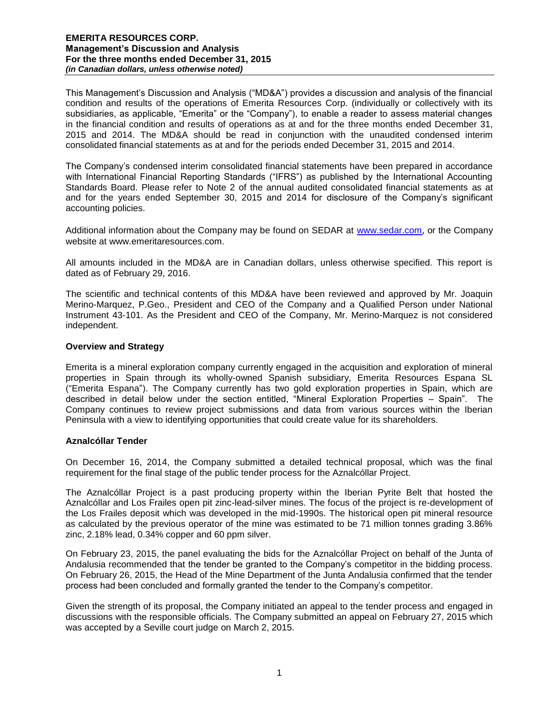This Management's Discussion and Analysis ("MD&A") provides a discussion and analysis of the financial condition and results of the operations of Emerita Resources Corp. (individually or collectively with its subsidiaries, as applicable, "Emerita" or the "Company"), to enable a reader to assess material changes in the financial condition and results of operations as at and for the three months ended December 31, 2015 and 2014. The MD&A should be read in conjunction with the unaudited condensed interim consolidated financial statements as at and for the periods ended December 31, 2015 and 2014.

The Company's condensed interim consolidated financial statements have been prepared in accordance with International Financial Reporting Standards ("IFRS") as published by the International Accounting Standards Board. Please refer to Note 2 of the annual audited consolidated financial statements as at and for the years ended September 30, 2015 and 2014 for disclosure of the Company's significant accounting policies.

Additional information about the Company may be found on SEDAR at [www.sedar.com](http://www.sedar.com/), or the Company website at www.emeritaresources.com.

All amounts included in the MD&A are in Canadian dollars, unless otherwise specified. This report is dated as of February 29, 2016.

The scientific and technical contents of this MD&A have been reviewed and approved by Mr. Joaquin Merino-Marquez, P.Geo., President and CEO of the Company and a Qualified Person under National Instrument 43-101. As the President and CEO of the Company, Mr. Merino-Marquez is not considered independent.

# **Overview and Strategy**

Emerita is a mineral exploration company currently engaged in the acquisition and exploration of mineral properties in Spain through its wholly-owned Spanish subsidiary, Emerita Resources Espana SL ("Emerita Espana"). The Company currently has two gold exploration properties in Spain, which are described in detail below under the section entitled, "Mineral Exploration Properties – Spain". The Company continues to review project submissions and data from various sources within the Iberian Peninsula with a view to identifying opportunities that could create value for its shareholders.

#### **Aznalcóllar Tender**

On December 16, 2014, the Company submitted a detailed technical proposal, which was the final requirement for the final stage of the public tender process for the Aznalcóllar Project.

The Aznalcóllar Project is a past producing property within the Iberian Pyrite Belt that hosted the Aznalcóllar and Los Frailes open pit zinc-lead-silver mines. The focus of the project is re-development of the Los Frailes deposit which was developed in the mid-1990s. The historical open pit mineral resource as calculated by the previous operator of the mine was estimated to be 71 million tonnes grading 3.86% zinc, 2.18% lead, 0.34% copper and 60 ppm silver.

On February 23, 2015, the panel evaluating the bids for the Aznalcóllar Project on behalf of the Junta of Andalusia recommended that the tender be granted to the Company's competitor in the bidding process. On February 26, 2015, the Head of the Mine Department of the Junta Andalusia confirmed that the tender process had been concluded and formally granted the tender to the Company's competitor.

Given the strength of its proposal, the Company initiated an appeal to the tender process and engaged in discussions with the responsible officials. The Company submitted an appeal on February 27, 2015 which was accepted by a Seville court judge on March 2, 2015.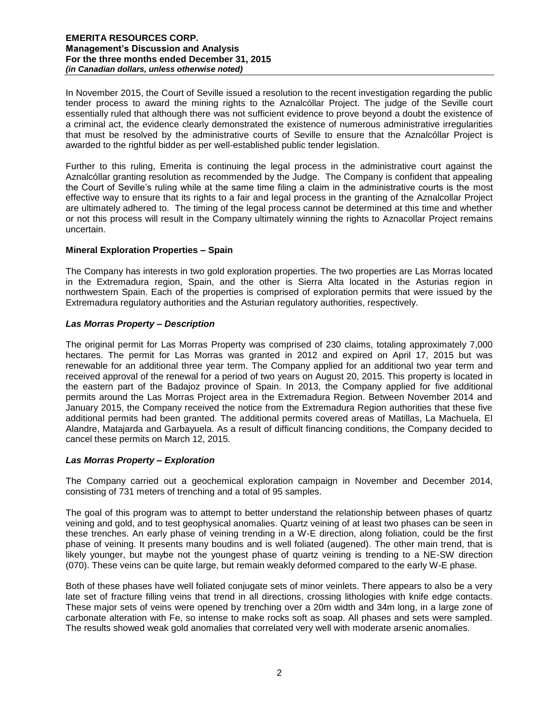In November 2015, the Court of Seville issued a resolution to the recent investigation regarding the public tender process to award the mining rights to the Aznalcóllar Project. The judge of the Seville court essentially ruled that although there was not sufficient evidence to prove beyond a doubt the existence of a criminal act, the evidence clearly demonstrated the existence of numerous administrative irregularities that must be resolved by the administrative courts of Seville to ensure that the Aznalcóllar Project is awarded to the rightful bidder as per well-established public tender legislation.

Further to this ruling, Emerita is continuing the legal process in the administrative court against the Aznalcóllar granting resolution as recommended by the Judge. The Company is confident that appealing the Court of Seville's ruling while at the same time filing a claim in the administrative courts is the most effective way to ensure that its rights to a fair and legal process in the granting of the Aznalcollar Project are ultimately adhered to. The timing of the legal process cannot be determined at this time and whether or not this process will result in the Company ultimately winning the rights to Aznacollar Project remains uncertain.

# **Mineral Exploration Properties – Spain**

The Company has interests in two gold exploration properties. The two properties are Las Morras located in the Extremadura region, Spain, and the other is Sierra Alta located in the Asturias region in northwestern Spain. Each of the properties is comprised of exploration permits that were issued by the Extremadura regulatory authorities and the Asturian regulatory authorities, respectively.

# *Las Morras Property – Description*

The original permit for Las Morras Property was comprised of 230 claims, totaling approximately 7,000 hectares. The permit for Las Morras was granted in 2012 and expired on April 17, 2015 but was renewable for an additional three year term. The Company applied for an additional two year term and received approval of the renewal for a period of two years on August 20, 2015. This property is located in the eastern part of the Badajoz province of Spain. In 2013, the Company applied for five additional permits around the Las Morras Project area in the Extremadura Region. Between November 2014 and January 2015, the Company received the notice from the Extremadura Region authorities that these five additional permits had been granted. The additional permits covered areas of Matillas, La Machuela, El Alandre, Matajarda and Garbayuela. As a result of difficult financing conditions, the Company decided to cancel these permits on March 12, 2015.

# *Las Morras Property – Exploration*

The Company carried out a geochemical exploration campaign in November and December 2014, consisting of 731 meters of trenching and a total of 95 samples.

The goal of this program was to attempt to better understand the relationship between phases of quartz veining and gold, and to test geophysical anomalies. Quartz veining of at least two phases can be seen in these trenches. An early phase of veining trending in a W-E direction, along foliation, could be the first phase of veining. It presents many boudins and is well foliated (augened). The other main trend, that is likely younger, but maybe not the youngest phase of quartz veining is trending to a NE-SW direction (070). These veins can be quite large, but remain weakly deformed compared to the early W-E phase.

Both of these phases have well foliated conjugate sets of minor veinlets. There appears to also be a very late set of fracture filling veins that trend in all directions, crossing lithologies with knife edge contacts. These major sets of veins were opened by trenching over a 20m width and 34m long, in a large zone of carbonate alteration with Fe, so intense to make rocks soft as soap. All phases and sets were sampled. The results showed weak gold anomalies that correlated very well with moderate arsenic anomalies.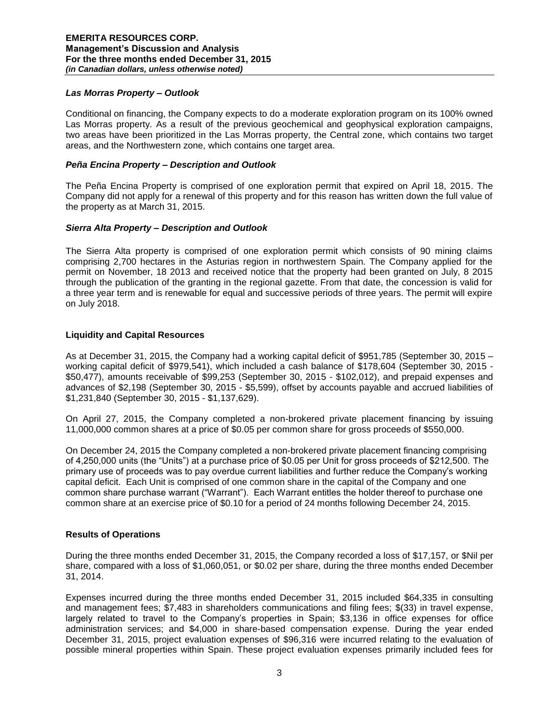# *Las Morras Property – Outlook*

Conditional on financing, the Company expects to do a moderate exploration program on its 100% owned Las Morras property. As a result of the previous geochemical and geophysical exploration campaigns, two areas have been prioritized in the Las Morras property, the Central zone, which contains two target areas, and the Northwestern zone, which contains one target area.

# *Peña Encina Property – Description and Outlook*

The Peña Encina Property is comprised of one exploration permit that expired on April 18, 2015. The Company did not apply for a renewal of this property and for this reason has written down the full value of the property as at March 31, 2015.

# *Sierra Alta Property – Description and Outlook*

The Sierra Alta property is comprised of one exploration permit which consists of 90 mining claims comprising 2,700 hectares in the Asturias region in northwestern Spain. The Company applied for the permit on November, 18 2013 and received notice that the property had been granted on July, 8 2015 through the publication of the granting in the regional gazette. From that date, the concession is valid for a three year term and is renewable for equal and successive periods of three years. The permit will expire on July 2018.

# **Liquidity and Capital Resources**

As at December 31, 2015, the Company had a working capital deficit of \$951,785 (September 30, 2015 – working capital deficit of \$979,541), which included a cash balance of \$178,604 (September 30, 2015 - \$50,477), amounts receivable of \$99,253 (September 30, 2015 - \$102,012), and prepaid expenses and advances of \$2,198 (September 30, 2015 - \$5,599), offset by accounts payable and accrued liabilities of \$1,231,840 (September 30, 2015 - \$1,137,629).

On April 27, 2015, the Company completed a non-brokered private placement financing by issuing 11,000,000 common shares at a price of \$0.05 per common share for gross proceeds of \$550,000.

On December 24, 2015 the Company completed a non-brokered private placement financing comprising of 4,250,000 units (the "Units") at a purchase price of \$0.05 per Unit for gross proceeds of \$212,500. The primary use of proceeds was to pay overdue current liabilities and further reduce the Company's working capital deficit. Each Unit is comprised of one common share in the capital of the Company and one common share purchase warrant ("Warrant"). Each Warrant entitles the holder thereof to purchase one common share at an exercise price of \$0.10 for a period of 24 months following December 24, 2015.

# **Results of Operations**

During the three months ended December 31, 2015, the Company recorded a loss of \$17,157, or \$Nil per share, compared with a loss of \$1,060,051, or \$0.02 per share, during the three months ended December 31, 2014.

Expenses incurred during the three months ended December 31, 2015 included \$64,335 in consulting and management fees; \$7,483 in shareholders communications and filing fees; \$(33) in travel expense, largely related to travel to the Company's properties in Spain; \$3,136 in office expenses for office administration services; and \$4,000 in share-based compensation expense. During the year ended December 31, 2015, project evaluation expenses of \$96,316 were incurred relating to the evaluation of possible mineral properties within Spain. These project evaluation expenses primarily included fees for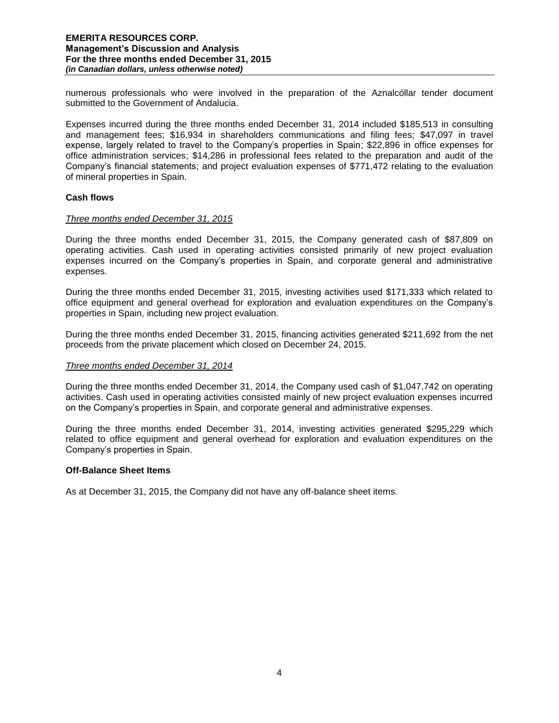numerous professionals who were involved in the preparation of the Aznalcóllar tender document submitted to the Government of Andalucia.

Expenses incurred during the three months ended December 31, 2014 included \$185,513 in consulting and management fees; \$16,934 in shareholders communications and filing fees; \$47,097 in travel expense, largely related to travel to the Company's properties in Spain; \$22,896 in office expenses for office administration services; \$14,286 in professional fees related to the preparation and audit of the Company's financial statements; and project evaluation expenses of \$771,472 relating to the evaluation of mineral properties in Spain.

### **Cash flows**

### *Three months ended December 31, 2015*

During the three months ended December 31, 2015, the Company generated cash of \$87,809 on operating activities. Cash used in operating activities consisted primarily of new project evaluation expenses incurred on the Company's properties in Spain, and corporate general and administrative expenses.

During the three months ended December 31, 2015, investing activities used \$171,333 which related to office equipment and general overhead for exploration and evaluation expenditures on the Company's properties in Spain, including new project evaluation.

During the three months ended December 31, 2015, financing activities generated \$211,692 from the net proceeds from the private placement which closed on December 24, 2015.

#### *Three months ended December 31, 2014*

During the three months ended December 31, 2014, the Company used cash of \$1,047,742 on operating activities. Cash used in operating activities consisted mainly of new project evaluation expenses incurred on the Company's properties in Spain, and corporate general and administrative expenses.

During the three months ended December 31, 2014, investing activities generated \$295,229 which related to office equipment and general overhead for exploration and evaluation expenditures on the Company's properties in Spain.

#### **Off-Balance Sheet Items**

As at December 31, 2015, the Company did not have any off-balance sheet items.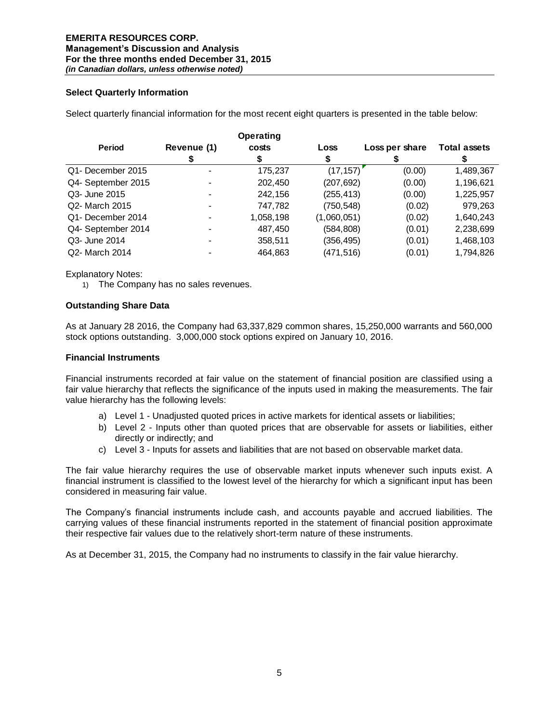# **Select Quarterly Information**

Select quarterly financial information for the most recent eight quarters is presented in the table below:

|                    |             | <b>Operating</b> |             |                |                     |
|--------------------|-------------|------------------|-------------|----------------|---------------------|
| <b>Period</b>      | Revenue (1) | costs            | Loss        | Loss per share | <b>Total assets</b> |
|                    |             |                  |             |                |                     |
| Q1- December 2015  |             | 175,237          | (17, 157)   | (0.00)         | 1,489,367           |
| Q4- September 2015 |             | 202,450          | (207, 692)  | (0.00)         | 1,196,621           |
| Q3- June 2015      |             | 242,156          | (255, 413)  | (0.00)         | 1,225,957           |
| Q2- March 2015     |             | 747,782          | (750, 548)  | (0.02)         | 979,263             |
| Q1- December 2014  |             | 1,058,198        | (1,060,051) | (0.02)         | 1,640,243           |
| Q4- September 2014 |             | 487,450          | (584, 808)  | (0.01)         | 2,238,699           |
| Q3- June 2014      | -           | 358,511          | (356, 495)  | (0.01)         | 1,468,103           |
| Q2- March 2014     |             | 464.863          | (471,516)   | (0.01)         | 1,794,826           |

Explanatory Notes:

1) The Company has no sales revenues.

### **Outstanding Share Data**

As at January 28 2016, the Company had 63,337,829 common shares, 15,250,000 warrants and 560,000 stock options outstanding. 3,000,000 stock options expired on January 10, 2016.

### **Financial Instruments**

Financial instruments recorded at fair value on the statement of financial position are classified using a fair value hierarchy that reflects the significance of the inputs used in making the measurements. The fair value hierarchy has the following levels:

- a) Level 1 Unadjusted quoted prices in active markets for identical assets or liabilities;
- b) Level 2 Inputs other than quoted prices that are observable for assets or liabilities, either directly or indirectly; and
- c) Level 3 Inputs for assets and liabilities that are not based on observable market data.

The fair value hierarchy requires the use of observable market inputs whenever such inputs exist. A financial instrument is classified to the lowest level of the hierarchy for which a significant input has been considered in measuring fair value.

The Company's financial instruments include cash, and accounts payable and accrued liabilities. The carrying values of these financial instruments reported in the statement of financial position approximate their respective fair values due to the relatively short-term nature of these instruments.

As at December 31, 2015, the Company had no instruments to classify in the fair value hierarchy.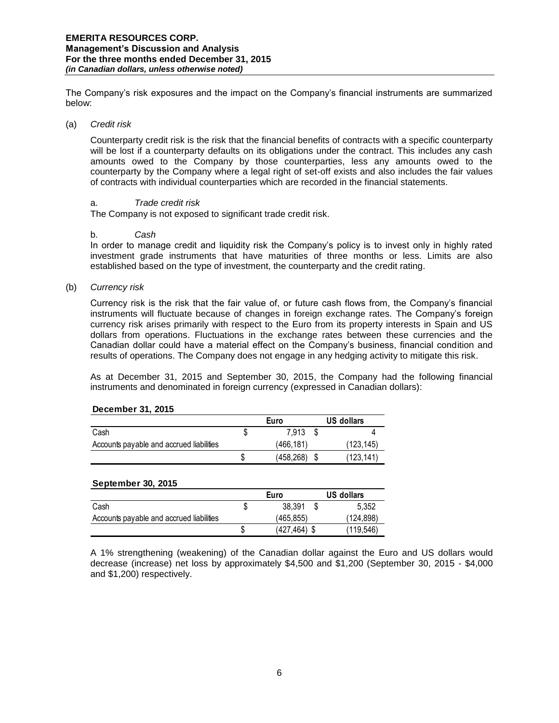The Company's risk exposures and the impact on the Company's financial instruments are summarized below:

### (a) *Credit risk*

Counterparty credit risk is the risk that the financial benefits of contracts with a specific counterparty will be lost if a counterparty defaults on its obligations under the contract. This includes any cash amounts owed to the Company by those counterparties, less any amounts owed to the counterparty by the Company where a legal right of set-off exists and also includes the fair values of contracts with individual counterparties which are recorded in the financial statements.

# a. *Trade credit risk*

The Company is not exposed to significant trade credit risk.

#### b. *Cash*

In order to manage credit and liquidity risk the Company's policy is to invest only in highly rated investment grade instruments that have maturities of three months or less. Limits are also established based on the type of investment, the counterparty and the credit rating.

### (b) *Currency risk*

Currency risk is the risk that the fair value of, or future cash flows from, the Company's financial instruments will fluctuate because of changes in foreign exchange rates. The Company's foreign currency risk arises primarily with respect to the Euro from its property interests in Spain and US dollars from operations. Fluctuations in the exchange rates between these currencies and the Canadian dollar could have a material effect on the Company's business, financial condition and results of operations. The Company does not engage in any hedging activity to mitigate this risk.

As at December 31, 2015 and September 30, 2015, the Company had the following financial instruments and denominated in foreign currency (expressed in Canadian dollars):

#### **December 31, 2015**

|                                          | Euro      | US dollars |
|------------------------------------------|-----------|------------|
| Cash                                     | 7.913     |            |
| Accounts payable and accrued liabilities | (466.181) | (123, 145) |
|                                          | (458.268) | (123, 141) |

#### **September 30, 2015**

|                                          |   | Euro         | US dollars |
|------------------------------------------|---|--------------|------------|
| Cash                                     |   | 38.391       | 5.352      |
| Accounts payable and accrued liabilities |   | (465.855)    | (124.898)  |
|                                          | S | (427.464) \$ | (119.546)  |

A 1% strengthening (weakening) of the Canadian dollar against the Euro and US dollars would decrease (increase) net loss by approximately \$4,500 and \$1,200 (September 30, 2015 - \$4,000 and \$1,200) respectively.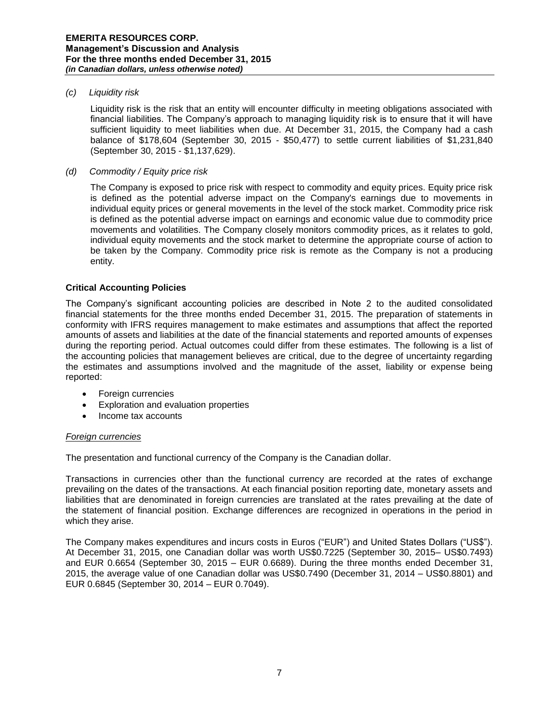# *(c) Liquidity risk*

Liquidity risk is the risk that an entity will encounter difficulty in meeting obligations associated with financial liabilities. The Company's approach to managing liquidity risk is to ensure that it will have sufficient liquidity to meet liabilities when due. At December 31, 2015, the Company had a cash balance of \$178,604 (September 30, 2015 - \$50,477) to settle current liabilities of \$1,231,840 (September 30, 2015 - \$1,137,629).

### *(d) Commodity / Equity price risk*

The Company is exposed to price risk with respect to commodity and equity prices. Equity price risk is defined as the potential adverse impact on the Company's earnings due to movements in individual equity prices or general movements in the level of the stock market. Commodity price risk is defined as the potential adverse impact on earnings and economic value due to commodity price movements and volatilities. The Company closely monitors commodity prices, as it relates to gold, individual equity movements and the stock market to determine the appropriate course of action to be taken by the Company. Commodity price risk is remote as the Company is not a producing entity.

### **Critical Accounting Policies**

The Company's significant accounting policies are described in Note 2 to the audited consolidated financial statements for the three months ended December 31, 2015. The preparation of statements in conformity with IFRS requires management to make estimates and assumptions that affect the reported amounts of assets and liabilities at the date of the financial statements and reported amounts of expenses during the reporting period. Actual outcomes could differ from these estimates. The following is a list of the accounting policies that management believes are critical, due to the degree of uncertainty regarding the estimates and assumptions involved and the magnitude of the asset, liability or expense being reported:

- Foreign currencies
- Exploration and evaluation properties
- Income tax accounts

#### *Foreign currencies*

The presentation and functional currency of the Company is the Canadian dollar.

Transactions in currencies other than the functional currency are recorded at the rates of exchange prevailing on the dates of the transactions. At each financial position reporting date, monetary assets and liabilities that are denominated in foreign currencies are translated at the rates prevailing at the date of the statement of financial position. Exchange differences are recognized in operations in the period in which they arise.

The Company makes expenditures and incurs costs in Euros ("EUR") and United States Dollars ("US\$"). At December 31, 2015, one Canadian dollar was worth US\$0.7225 (September 30, 2015– US\$0.7493) and EUR 0.6654 (September 30, 2015 – EUR 0.6689). During the three months ended December 31, 2015, the average value of one Canadian dollar was US\$0.7490 (December 31, 2014 – US\$0.8801) and EUR 0.6845 (September 30, 2014 – EUR 0.7049).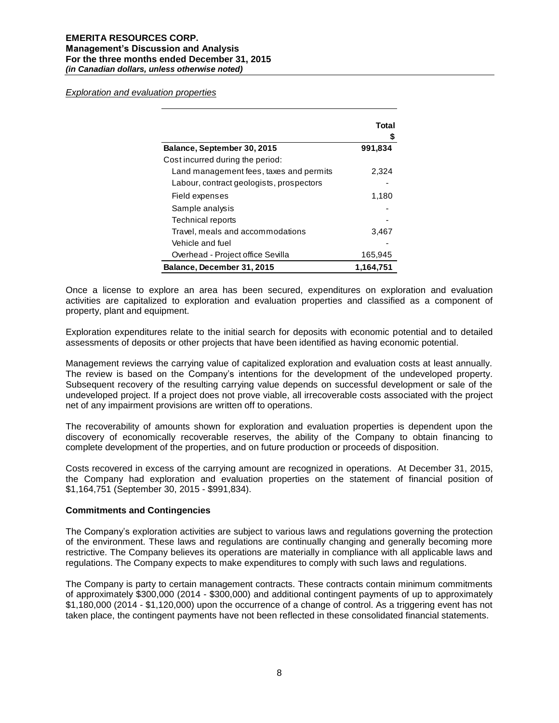*Exploration and evaluation properties*

|                                          | Total     |
|------------------------------------------|-----------|
|                                          |           |
| Balance, September 30, 2015              | 991,834   |
| Cost incurred during the period:         |           |
| Land management fees, taxes and permits  | 2,324     |
| Labour, contract geologists, prospectors |           |
| Field expenses                           | 1,180     |
| Sample analysis                          |           |
| <b>Technical reports</b>                 |           |
| Travel, meals and accommodations         | 3,467     |
| Vehicle and fuel                         |           |
| Overhead - Project office Sevilla        | 165,945   |
| Balance, December 31, 2015               | 1.164.751 |

Once a license to explore an area has been secured, expenditures on exploration and evaluation activities are capitalized to exploration and evaluation properties and classified as a component of property, plant and equipment.

Exploration expenditures relate to the initial search for deposits with economic potential and to detailed assessments of deposits or other projects that have been identified as having economic potential.

Management reviews the carrying value of capitalized exploration and evaluation costs at least annually. The review is based on the Company's intentions for the development of the undeveloped property. Subsequent recovery of the resulting carrying value depends on successful development or sale of the undeveloped project. If a project does not prove viable, all irrecoverable costs associated with the project net of any impairment provisions are written off to operations.

The recoverability of amounts shown for exploration and evaluation properties is dependent upon the discovery of economically recoverable reserves, the ability of the Company to obtain financing to complete development of the properties, and on future production or proceeds of disposition.

Costs recovered in excess of the carrying amount are recognized in operations. At December 31, 2015, the Company had exploration and evaluation properties on the statement of financial position of \$1,164,751 (September 30, 2015 - \$991,834).

#### **Commitments and Contingencies**

The Company's exploration activities are subject to various laws and regulations governing the protection of the environment. These laws and regulations are continually changing and generally becoming more restrictive. The Company believes its operations are materially in compliance with all applicable laws and regulations. The Company expects to make expenditures to comply with such laws and regulations.

The Company is party to certain management contracts. These contracts contain minimum commitments of approximately \$300,000 (2014 - \$300,000) and additional contingent payments of up to approximately \$1,180,000 (2014 - \$1,120,000) upon the occurrence of a change of control. As a triggering event has not taken place, the contingent payments have not been reflected in these consolidated financial statements.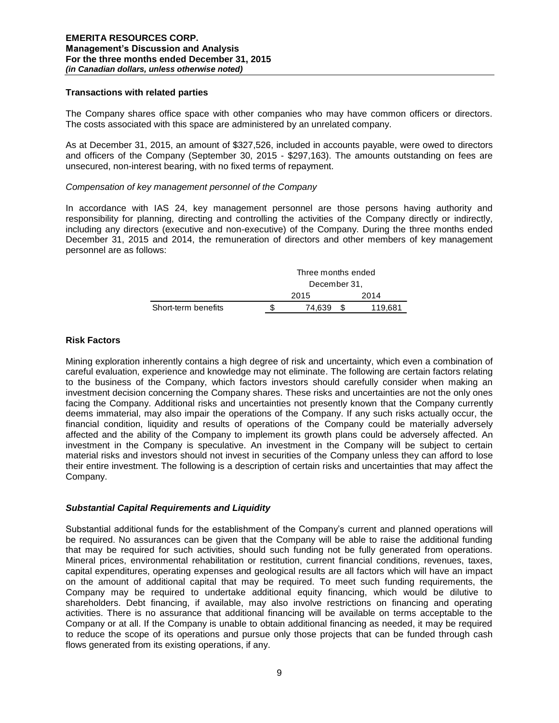# **Transactions with related parties**

The Company shares office space with other companies who may have common officers or directors. The costs associated with this space are administered by an unrelated company.

As at December 31, 2015, an amount of \$327,526, included in accounts payable, were owed to directors and officers of the Company (September 30, 2015 - \$297,163). The amounts outstanding on fees are unsecured, non-interest bearing, with no fixed terms of repayment.

### *Compensation of key management personnel of the Company*

In accordance with IAS 24, key management personnel are those persons having authority and responsibility for planning, directing and controlling the activities of the Company directly or indirectly, including any directors (executive and non-executive) of the Company. During the three months ended December 31, 2015 and 2014, the remuneration of directors and other members of key management personnel are as follows:

|                     |      | Three months ended |  |         |  |
|---------------------|------|--------------------|--|---------|--|
|                     |      | December 31,       |  |         |  |
|                     | 2015 |                    |  | 2014    |  |
| Short-term benefits |      | 74.639             |  | 119,681 |  |

# **Risk Factors**

Mining exploration inherently contains a high degree of risk and uncertainty, which even a combination of careful evaluation, experience and knowledge may not eliminate. The following are certain factors relating to the business of the Company, which factors investors should carefully consider when making an investment decision concerning the Company shares. These risks and uncertainties are not the only ones facing the Company. Additional risks and uncertainties not presently known that the Company currently deems immaterial, may also impair the operations of the Company. If any such risks actually occur, the financial condition, liquidity and results of operations of the Company could be materially adversely affected and the ability of the Company to implement its growth plans could be adversely affected. An investment in the Company is speculative. An investment in the Company will be subject to certain material risks and investors should not invest in securities of the Company unless they can afford to lose their entire investment. The following is a description of certain risks and uncertainties that may affect the Company.

# *Substantial Capital Requirements and Liquidity*

Substantial additional funds for the establishment of the Company's current and planned operations will be required. No assurances can be given that the Company will be able to raise the additional funding that may be required for such activities, should such funding not be fully generated from operations. Mineral prices, environmental rehabilitation or restitution, current financial conditions, revenues, taxes, capital expenditures, operating expenses and geological results are all factors which will have an impact on the amount of additional capital that may be required. To meet such funding requirements, the Company may be required to undertake additional equity financing, which would be dilutive to shareholders. Debt financing, if available, may also involve restrictions on financing and operating activities. There is no assurance that additional financing will be available on terms acceptable to the Company or at all. If the Company is unable to obtain additional financing as needed, it may be required to reduce the scope of its operations and pursue only those projects that can be funded through cash flows generated from its existing operations, if any.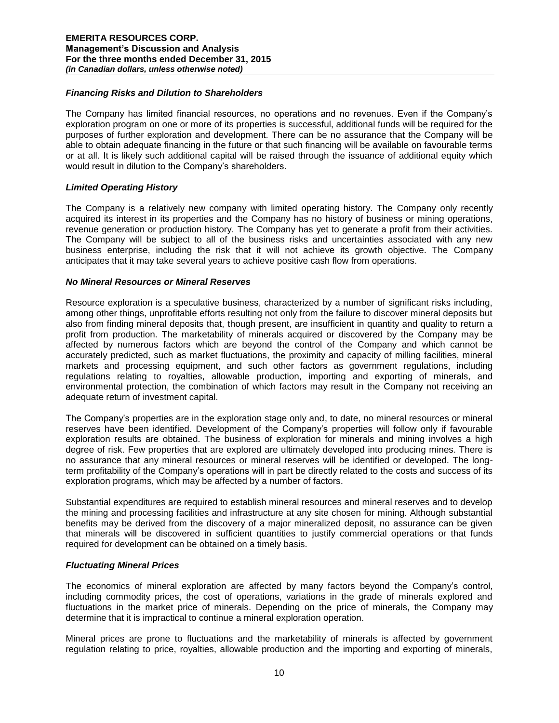# *Financing Risks and Dilution to Shareholders*

The Company has limited financial resources, no operations and no revenues. Even if the Company's exploration program on one or more of its properties is successful, additional funds will be required for the purposes of further exploration and development. There can be no assurance that the Company will be able to obtain adequate financing in the future or that such financing will be available on favourable terms or at all. It is likely such additional capital will be raised through the issuance of additional equity which would result in dilution to the Company's shareholders.

### *Limited Operating History*

The Company is a relatively new company with limited operating history. The Company only recently acquired its interest in its properties and the Company has no history of business or mining operations, revenue generation or production history. The Company has yet to generate a profit from their activities. The Company will be subject to all of the business risks and uncertainties associated with any new business enterprise, including the risk that it will not achieve its growth objective. The Company anticipates that it may take several years to achieve positive cash flow from operations.

### *No Mineral Resources or Mineral Reserves*

Resource exploration is a speculative business, characterized by a number of significant risks including, among other things, unprofitable efforts resulting not only from the failure to discover mineral deposits but also from finding mineral deposits that, though present, are insufficient in quantity and quality to return a profit from production. The marketability of minerals acquired or discovered by the Company may be affected by numerous factors which are beyond the control of the Company and which cannot be accurately predicted, such as market fluctuations, the proximity and capacity of milling facilities, mineral markets and processing equipment, and such other factors as government regulations, including regulations relating to royalties, allowable production, importing and exporting of minerals, and environmental protection, the combination of which factors may result in the Company not receiving an adequate return of investment capital.

The Company's properties are in the exploration stage only and, to date, no mineral resources or mineral reserves have been identified. Development of the Company's properties will follow only if favourable exploration results are obtained. The business of exploration for minerals and mining involves a high degree of risk. Few properties that are explored are ultimately developed into producing mines. There is no assurance that any mineral resources or mineral reserves will be identified or developed. The longterm profitability of the Company's operations will in part be directly related to the costs and success of its exploration programs, which may be affected by a number of factors.

Substantial expenditures are required to establish mineral resources and mineral reserves and to develop the mining and processing facilities and infrastructure at any site chosen for mining. Although substantial benefits may be derived from the discovery of a major mineralized deposit, no assurance can be given that minerals will be discovered in sufficient quantities to justify commercial operations or that funds required for development can be obtained on a timely basis.

# *Fluctuating Mineral Prices*

The economics of mineral exploration are affected by many factors beyond the Company's control, including commodity prices, the cost of operations, variations in the grade of minerals explored and fluctuations in the market price of minerals. Depending on the price of minerals, the Company may determine that it is impractical to continue a mineral exploration operation.

Mineral prices are prone to fluctuations and the marketability of minerals is affected by government regulation relating to price, royalties, allowable production and the importing and exporting of minerals,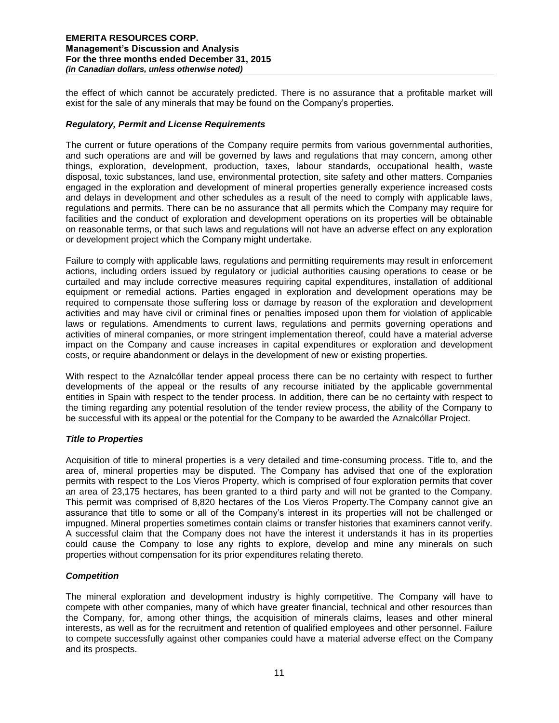the effect of which cannot be accurately predicted. There is no assurance that a profitable market will exist for the sale of any minerals that may be found on the Company's properties.

# *Regulatory, Permit and License Requirements*

The current or future operations of the Company require permits from various governmental authorities, and such operations are and will be governed by laws and regulations that may concern, among other things, exploration, development, production, taxes, labour standards, occupational health, waste disposal, toxic substances, land use, environmental protection, site safety and other matters. Companies engaged in the exploration and development of mineral properties generally experience increased costs and delays in development and other schedules as a result of the need to comply with applicable laws, regulations and permits. There can be no assurance that all permits which the Company may require for facilities and the conduct of exploration and development operations on its properties will be obtainable on reasonable terms, or that such laws and regulations will not have an adverse effect on any exploration or development project which the Company might undertake.

Failure to comply with applicable laws, regulations and permitting requirements may result in enforcement actions, including orders issued by regulatory or judicial authorities causing operations to cease or be curtailed and may include corrective measures requiring capital expenditures, installation of additional equipment or remedial actions. Parties engaged in exploration and development operations may be required to compensate those suffering loss or damage by reason of the exploration and development activities and may have civil or criminal fines or penalties imposed upon them for violation of applicable laws or regulations. Amendments to current laws, regulations and permits governing operations and activities of mineral companies, or more stringent implementation thereof, could have a material adverse impact on the Company and cause increases in capital expenditures or exploration and development costs, or require abandonment or delays in the development of new or existing properties.

With respect to the Aznalcóllar tender appeal process there can be no certainty with respect to further developments of the appeal or the results of any recourse initiated by the applicable governmental entities in Spain with respect to the tender process. In addition, there can be no certainty with respect to the timing regarding any potential resolution of the tender review process, the ability of the Company to be successful with its appeal or the potential for the Company to be awarded the Aznalcóllar Project.

# *Title to Properties*

Acquisition of title to mineral properties is a very detailed and time-consuming process. Title to, and the area of, mineral properties may be disputed. The Company has advised that one of the exploration permits with respect to the Los Vieros Property, which is comprised of four exploration permits that cover an area of 23,175 hectares, has been granted to a third party and will not be granted to the Company. This permit was comprised of 8,820 hectares of the Los Vieros Property.The Company cannot give an assurance that title to some or all of the Company's interest in its properties will not be challenged or impugned. Mineral properties sometimes contain claims or transfer histories that examiners cannot verify. A successful claim that the Company does not have the interest it understands it has in its properties could cause the Company to lose any rights to explore, develop and mine any minerals on such properties without compensation for its prior expenditures relating thereto.

# *Competition*

The mineral exploration and development industry is highly competitive. The Company will have to compete with other companies, many of which have greater financial, technical and other resources than the Company, for, among other things, the acquisition of minerals claims, leases and other mineral interests, as well as for the recruitment and retention of qualified employees and other personnel. Failure to compete successfully against other companies could have a material adverse effect on the Company and its prospects.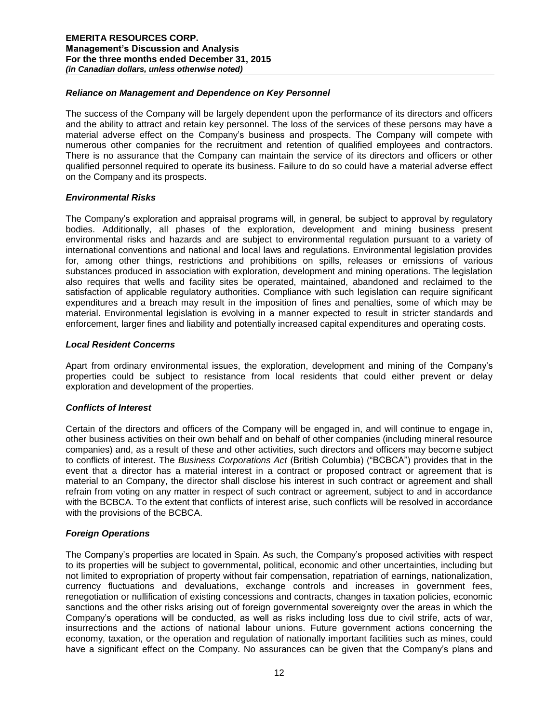# *Reliance on Management and Dependence on Key Personnel*

The success of the Company will be largely dependent upon the performance of its directors and officers and the ability to attract and retain key personnel. The loss of the services of these persons may have a material adverse effect on the Company's business and prospects. The Company will compete with numerous other companies for the recruitment and retention of qualified employees and contractors. There is no assurance that the Company can maintain the service of its directors and officers or other qualified personnel required to operate its business. Failure to do so could have a material adverse effect on the Company and its prospects.

# *Environmental Risks*

The Company's exploration and appraisal programs will, in general, be subject to approval by regulatory bodies. Additionally, all phases of the exploration, development and mining business present environmental risks and hazards and are subject to environmental regulation pursuant to a variety of international conventions and national and local laws and regulations. Environmental legislation provides for, among other things, restrictions and prohibitions on spills, releases or emissions of various substances produced in association with exploration, development and mining operations. The legislation also requires that wells and facility sites be operated, maintained, abandoned and reclaimed to the satisfaction of applicable regulatory authorities. Compliance with such legislation can require significant expenditures and a breach may result in the imposition of fines and penalties, some of which may be material. Environmental legislation is evolving in a manner expected to result in stricter standards and enforcement, larger fines and liability and potentially increased capital expenditures and operating costs.

# *Local Resident Concerns*

Apart from ordinary environmental issues, the exploration, development and mining of the Company's properties could be subject to resistance from local residents that could either prevent or delay exploration and development of the properties.

# *Conflicts of Interest*

Certain of the directors and officers of the Company will be engaged in, and will continue to engage in, other business activities on their own behalf and on behalf of other companies (including mineral resource companies) and, as a result of these and other activities, such directors and officers may become subject to conflicts of interest. The *Business Corporations Act* (British Columbia) ("BCBCA") provides that in the event that a director has a material interest in a contract or proposed contract or agreement that is material to an Company, the director shall disclose his interest in such contract or agreement and shall refrain from voting on any matter in respect of such contract or agreement, subject to and in accordance with the BCBCA. To the extent that conflicts of interest arise, such conflicts will be resolved in accordance with the provisions of the BCBCA.

# *Foreign Operations*

The Company's properties are located in Spain. As such, the Company's proposed activities with respect to its properties will be subject to governmental, political, economic and other uncertainties, including but not limited to expropriation of property without fair compensation, repatriation of earnings, nationalization, currency fluctuations and devaluations, exchange controls and increases in government fees, renegotiation or nullification of existing concessions and contracts, changes in taxation policies, economic sanctions and the other risks arising out of foreign governmental sovereignty over the areas in which the Company's operations will be conducted, as well as risks including loss due to civil strife, acts of war, insurrections and the actions of national labour unions. Future government actions concerning the economy, taxation, or the operation and regulation of nationally important facilities such as mines, could have a significant effect on the Company. No assurances can be given that the Company's plans and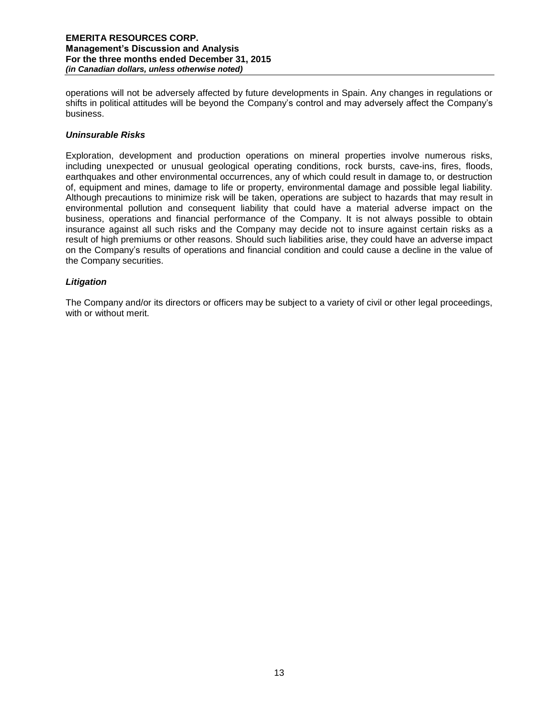operations will not be adversely affected by future developments in Spain. Any changes in regulations or shifts in political attitudes will be beyond the Company's control and may adversely affect the Company's business.

# *Uninsurable Risks*

Exploration, development and production operations on mineral properties involve numerous risks, including unexpected or unusual geological operating conditions, rock bursts, cave-ins, fires, floods, earthquakes and other environmental occurrences, any of which could result in damage to, or destruction of, equipment and mines, damage to life or property, environmental damage and possible legal liability. Although precautions to minimize risk will be taken, operations are subject to hazards that may result in environmental pollution and consequent liability that could have a material adverse impact on the business, operations and financial performance of the Company. It is not always possible to obtain insurance against all such risks and the Company may decide not to insure against certain risks as a result of high premiums or other reasons. Should such liabilities arise, they could have an adverse impact on the Company's results of operations and financial condition and could cause a decline in the value of the Company securities.

# *Litigation*

The Company and/or its directors or officers may be subject to a variety of civil or other legal proceedings, with or without merit.